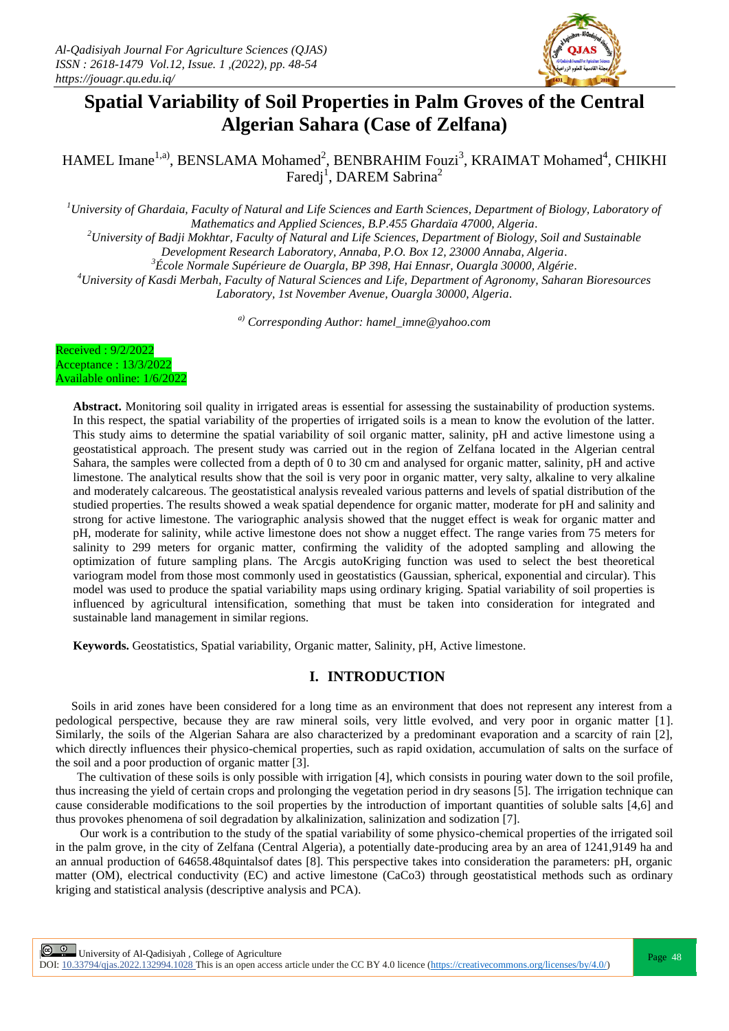

# **Spatial Variability of Soil Properties in Palm Groves of the Central Algerian Sahara (Case of Zelfana)**

HAMEL Imane<sup>1,a)</sup>, BENSLAMA Mohamed<sup>2</sup>, BENBRAHIM Fouzi<sup>3</sup>, KRAIMAT Mohamed<sup>4</sup>, CHIKHI Faredj<sup>1</sup>, DAREM Sabrina<sup>2</sup>

*<sup>1</sup>University of Ghardaia, Faculty of Natural and Life Sciences and Earth Sciences, Department of Biology, Laboratory of Mathematics and Applied Sciences, B.P.455 Ghardaïa 47000, Algeria.*

*<sup>2</sup>University of Badji Mokhtar, Faculty of Natural and Life Sciences, Department of Biology, Soil and Sustainable* 

*Development Research Laboratory, Annaba, P.O. Box 12, 23000 Annaba, Algeria. <sup>3</sup>École Normale Supérieure de Ouargla, BP 398, Hai Ennasr, Ouargla 30000, Algérie.*

*<sup>4</sup>University of Kasdi Merbah, Faculty of Natural Sciences and Life, Department of Agronomy, Saharan Bioresources Laboratory, 1st November Avenue, Ouargla 30000, Algeria.*

*a) Corresponding Author: hamel\_imne@yahoo.com*

| Received: 9/2/2022         |  |
|----------------------------|--|
| Acceptance : 13/3/2022     |  |
| Available online: 1/6/2022 |  |

**Abstract.** Monitoring soil quality in irrigated areas is essential for assessing the sustainability of production systems. In this respect, the spatial variability of the properties of irrigated soils is a mean to know the evolution of the latter. This study aims to determine the spatial variability of soil organic matter, salinity, pH and active limestone using a geostatistical approach. The present study was carried out in the region of Zelfana located in the Algerian central Sahara, the samples were collected from a depth of 0 to 30 cm and analysed for organic matter, salinity, pH and active limestone. The analytical results show that the soil is very poor in organic matter, very salty, alkaline to very alkaline and moderately calcareous. The geostatistical analysis revealed various patterns and levels of spatial distribution of the studied properties. The results showed a weak spatial dependence for organic matter, moderate for pH and salinity and strong for active limestone. The variographic analysis showed that the nugget effect is weak for organic matter and pH, moderate for salinity, while active limestone does not show a nugget effect. The range varies from 75 meters for salinity to 299 meters for organic matter, confirming the validity of the adopted sampling and allowing the optimization of future sampling plans. The Arcgis autoKriging function was used to select the best theoretical variogram model from those most commonly used in geostatistics (Gaussian, spherical, exponential and circular). This model was used to produce the spatial variability maps using ordinary kriging. Spatial variability of soil properties is influenced by agricultural intensification, something that must be taken into consideration for integrated and sustainable land management in similar regions.

**Keywords.** Geostatistics, Spatial variability, Organic matter, Salinity, pH, Active limestone.

## **I. INTRODUCTION**

 Soils in arid zones have been considered for a long time as an environment that does not represent any interest from a pedological perspective, because they are raw mineral soils, very little evolved, and very poor in organic matter [1]. Similarly, the soils of the Algerian Sahara are also characterized by a predominant evaporation and a scarcity of rain [2], which directly influences their physico-chemical properties, such as rapid oxidation, accumulation of salts on the surface of the soil and a poor production of organic matter [3].

 The cultivation of these soils is only possible with irrigation [4], which consists in pouring water down to the soil profile, thus increasing the yield of certain crops and prolonging the vegetation period in dry seasons [5]. The irrigation technique can cause considerable modifications to the soil properties by the introduction of important quantities of soluble salts [4,6] and thus provokes phenomena of soil degradation by alkalinization, salinization and sodization [7].

 Our work is a contribution to the study of the spatial variability of some physico-chemical properties of the irrigated soil in the palm grove, in the city of Zelfana (Central Algeria), a potentially date-producing area by an area of 1241,9149 ha and an annual production of 64658.48quintalsof dates [8]. This perspective takes into consideration the parameters: pH, organic matter (OM), electrical conductivity (EC) and active limestone (CaCo3) through geostatistical methods such as ordinary kriging and statistical analysis (descriptive analysis and PCA).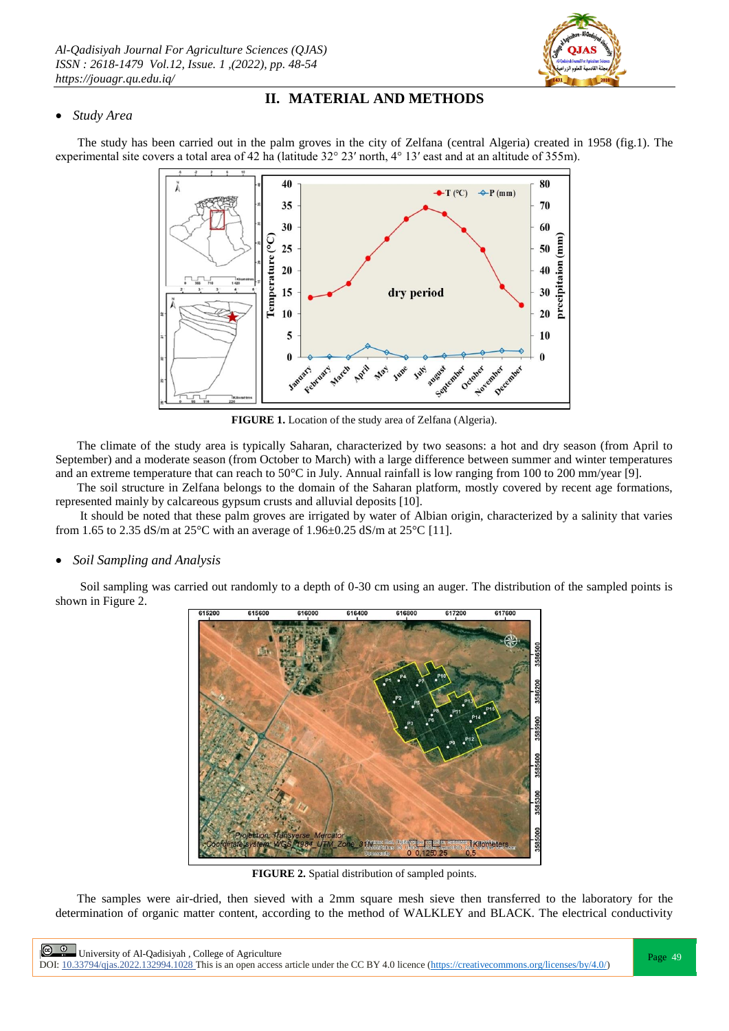

# **II. MATERIAL AND METHODS**

## *Study Area*

The study has been carried out in the palm groves in the city of Zelfana (central Algeria) created in 1958 (fig.1). The experimental site covers a total area of 42 ha (latitude 32° 23′ north, 4° 13′ east and at an altitude of 355m).



**FIGURE 1.** Location of the study area of Zelfana (Algeria).

 The climate of the study area is typically Saharan, characterized by two seasons: a hot and dry season (from April to September) and a moderate season (from October to March) with a large difference between summer and winter temperatures and an extreme temperature that can reach to 50 $^{\circ}$ C in July. Annual rainfall is low ranging from 100 to 200 mm/year [9].

 The soil structure in Zelfana belongs to the domain of the Saharan platform, mostly covered by recent age formations, represented mainly by calcareous gypsum crusts and alluvial deposits [10].

 It should be noted that these palm groves are irrigated by water of Albian origin, characterized by a salinity that varies from 1.65 to 2.35 dS/m at 25 $^{\circ}$ C with an average of 1.96 $\pm$ 0.25 dS/m at 25 $^{\circ}$ C [11].

# *Soil Sampling and Analysis*

 Soil sampling was carried out randomly to a depth of 0-30 cm using an auger. The distribution of the sampled points is shown in Figure 2.



**FIGURE 2.** Spatial distribution of sampled points.

 The samples were air-dried, then sieved with a 2mm square mesh sieve then transferred to the laboratory for the determination of organic matter content, according to the method of WALKLEY and BLACK. The electrical conductivity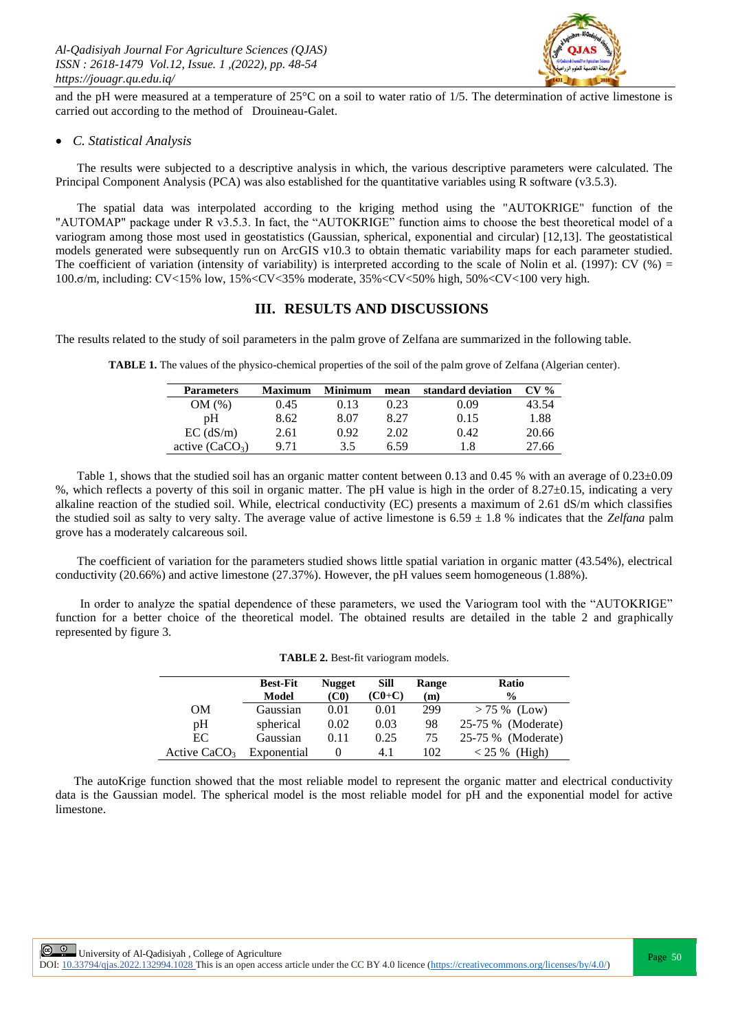

and the pH were measured at a temperature of  $25^{\circ}$ C on a soil to water ratio of  $1/5$ . The determination of active limestone is carried out according to the method of Drouineau-Galet.

#### *C. Statistical Analysis*

 The results were subjected to a descriptive analysis in which, the various descriptive parameters were calculated. The Principal Component Analysis (PCA) was also established for the quantitative variables using R software (v3.5.3).

 The spatial data was interpolated according to the kriging method using the "AUTOKRIGE" function of the "AUTOMAP" package under R v3.5.3. In fact, the "AUTOKRIGE" function aims to choose the best theoretical model of a variogram among those most used in geostatistics (Gaussian, spherical, exponential and circular) [12,13]. The geostatistical models generated were subsequently run on ArcGIS v10.3 to obtain thematic variability maps for each parameter studied. The coefficient of variation (intensity of variability) is interpreted according to the scale of Nolin et al. (1997): CV (%) = 100.σ/m, including: CV<15% low, 15%<CV<35% moderate, 35%<CV<50% high, 50%<CV<100 very high.

## **III. RESULTS AND DISCUSSIONS**

The results related to the study of soil parameters in the palm grove of Zelfana are summarized in the following table.

| <b>Parameters</b> | <b>Maximum</b> | <b>Minimum</b> | mean | standard deviation | $CV\%$ |
|-------------------|----------------|----------------|------|--------------------|--------|
| OM (%)            | 0.45           | 0.13           | 0.23 | 9.09-              | 13.54  |
| pΗ                | 8.62           | 8.07           | 8.27 | 0.15               | 1.88   |
| $EC$ (dS/m)       | 2.61           | 0.92           | 2.02 | 0.42               | 20.66  |
| active $(CaCO3)$  | 9.71           | 35             | 6 59 | 1.8                | 27.66  |

**TABLE 1.** The values of the physico-chemical properties of the soil of the palm grove of Zelfana (Algerian center).

Table 1, shows that the studied soil has an organic matter content between 0.13 and 0.45 % with an average of 0.23 $\pm$ 0.09 %, which reflects a poverty of this soil in organic matter. The pH value is high in the order of 8.27±0.15, indicating a very alkaline reaction of the studied soil. While, electrical conductivity (EC) presents a maximum of 2.61 dS/m which classifies the studied soil as salty to very salty. The average value of active limestone is  $6.59 \pm 1.8$  % indicates that the *Zelfana* palm grove has a moderately calcareous soil.

 The coefficient of variation for the parameters studied shows little spatial variation in organic matter (43.54%), electrical conductivity (20.66%) and active limestone (27.37%). However, the pH values seem homogeneous (1.88%).

 In order to analyze the spatial dependence of these parameters, we used the Variogram tool with the "AUTOKRIGE" function for a better choice of the theoretical model. The obtained results are detailed in the table 2 and graphically represented by figure 3.

|                | <b>Best-Fit</b> | <b>Nugget</b>     | Sill     | Range | Ratio              |
|----------------|-----------------|-------------------|----------|-------|--------------------|
|                | Model           | (C <sub>0</sub> ) | $(C0+C)$ | (m)   | $\frac{6}{9}$      |
| OМ             | Gaussian        | 0.01              | 0.01     | 299   | $> 75 \%$ (Low)    |
| pH             | spherical       | 0.02              | 0.03     | 98    | 25-75 % (Moderate) |
| EC             | Gaussian        | 0.11              | 0.25     | 75    | 25-75 % (Moderate) |
| Active $CaCO3$ | Exponential     |                   | 4.1      | 102   | (High)<br>$< 25\%$ |

**TABLE 2.** Best-fit variogram models.

 The autoKrige function showed that the most reliable model to represent the organic matter and electrical conductivity data is the Gaussian model. The spherical model is the most reliable model for pH and the exponential model for active limestone.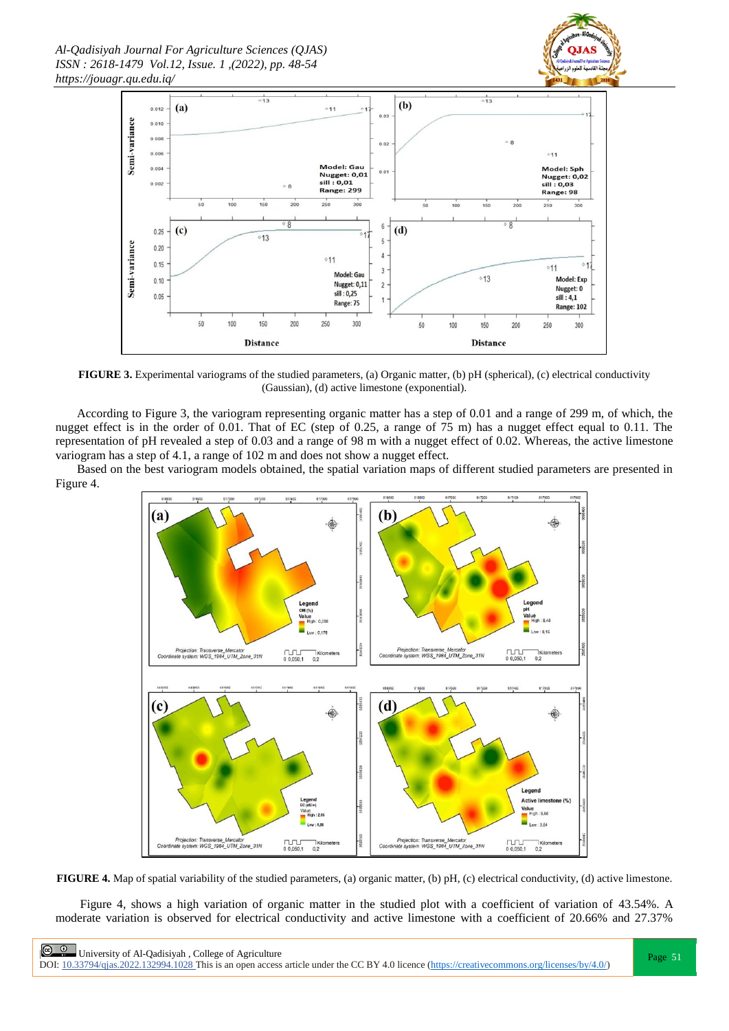*Al-Qadisiyah Journal For Agriculture Sciences (QJAS) ISSN : 2618-1479 Vol.12, Issue. 1 ,(2022), pp. 48-54 https://jouagr.qu.edu.iq/*





**FIGURE 3.** Experimental variograms of the studied parameters, (a) Organic matter, (b) pH (spherical), (c) electrical conductivity (Gaussian), (d) active limestone (exponential).

 According to Figure 3, the variogram representing organic matter has a step of 0.01 and a range of 299 m, of which, the nugget effect is in the order of 0.01. That of EC (step of 0.25, a range of 75 m) has a nugget effect equal to 0.11. The representation of pH revealed a step of 0.03 and a range of 98 m with a nugget effect of 0.02. Whereas, the active limestone variogram has a step of 4.1, a range of 102 m and does not show a nugget effect.

 Based on the best variogram models obtained, the spatial variation maps of different studied parameters are presented in Figure 4.



**FIGURE 4.** Map of spatial variability of the studied parameters, (a) organic matter, (b) pH, (c) electrical conductivity, (d) active limestone.

 Figure 4, shows a high variation of organic matter in the studied plot with a coefficient of variation of 43.54%. A moderate variation is observed for electrical conductivity and active limestone with a coefficient of 20.66% and 27.37%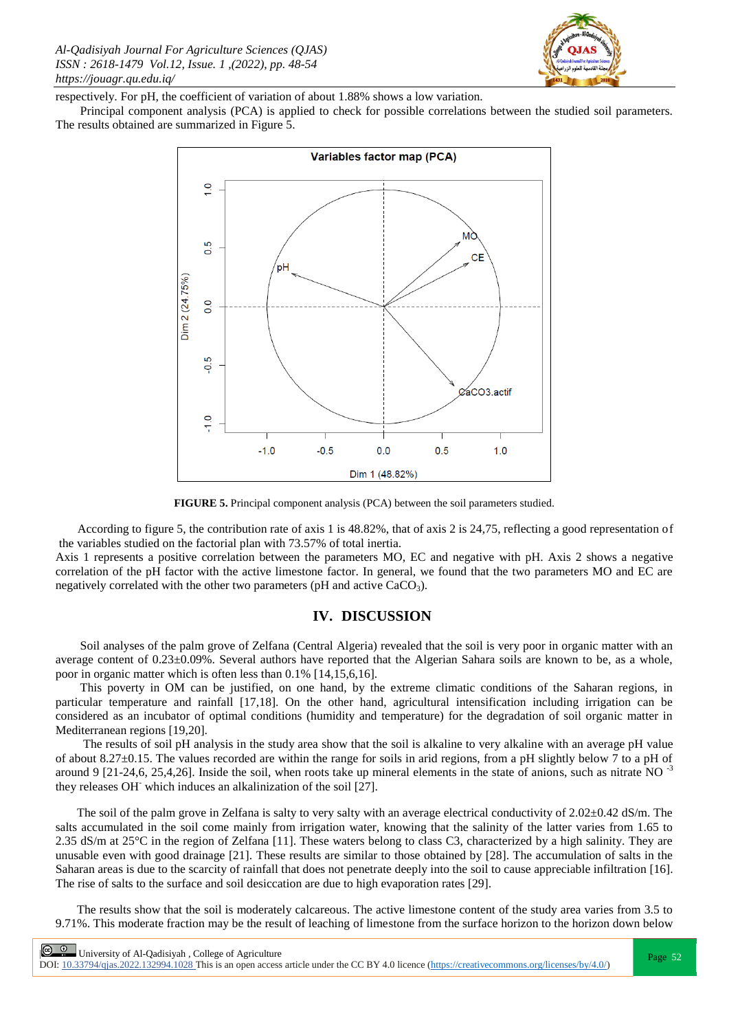

respectively. For pH, the coefficient of variation of about 1.88% shows a low variation.

 Principal component analysis (PCA) is applied to check for possible correlations between the studied soil parameters. The results obtained are summarized in Figure 5.



**FIGURE 5.** Principal component analysis (PCA) between the soil parameters studied.

 According to figure 5, the contribution rate of axis 1 is 48.82%, that of axis 2 is 24,75, reflecting a good representation of the variables studied on the factorial plan with 73.57% of total inertia.

Axis 1 represents a positive correlation between the parameters MO, EC and negative with pH. Axis 2 shows a negative correlation of the pH factor with the active limestone factor. In general, we found that the two parameters MO and EC are negatively correlated with the other two parameters (pH and active CaCO<sub>3</sub>).

#### **IV. DISCUSSION**

 Soil analyses of the palm grove of Zelfana (Central Algeria) revealed that the soil is very poor in organic matter with an average content of 0.23±0.09%. Several authors have reported that the Algerian Sahara soils are known to be, as a whole, poor in organic matter which is often less than 0.1% [14,15,6,16].

 This poverty in OM can be justified, on one hand, by the extreme climatic conditions of the Saharan regions, in particular temperature and rainfall [17,18]. On the other hand, agricultural intensification including irrigation can be considered as an incubator of optimal conditions (humidity and temperature) for the degradation of soil organic matter in Mediterranean regions [19,20].

 The results of soil pH analysis in the study area show that the soil is alkaline to very alkaline with an average pH value of about 8.27±0.15. The values recorded are within the range for soils in arid regions, from a pH slightly below 7 to a pH of around 9 [21-24,6, 25,4,26]. Inside the soil, when roots take up mineral elements in the state of anions, such as nitrate NO  $^{-3}$ they releases OH- which induces an alkalinization of the soil [27].

The soil of the palm grove in Zelfana is salty to very salty with an average electrical conductivity of  $2.02\pm0.42$  dS/m. The salts accumulated in the soil come mainly from irrigation water, knowing that the salinity of the latter varies from 1.65 to 2.35 dS/m at  $25^{\circ}$ C in the region of Zelfana [11]. These waters belong to class C3, characterized by a high salinity. They are unusable even with good drainage [21]. These results are similar to those obtained by [28]. The accumulation of salts in the Saharan areas is due to the scarcity of rainfall that does not penetrate deeply into the soil to cause appreciable infiltration [16]. The rise of salts to the surface and soil desiccation are due to high evaporation rates [29].

 The results show that the soil is moderately calcareous. The active limestone content of the study area varies from 3.5 to 9.71%. This moderate fraction may be the result of leaching of limestone from the surface horizon to the horizon down below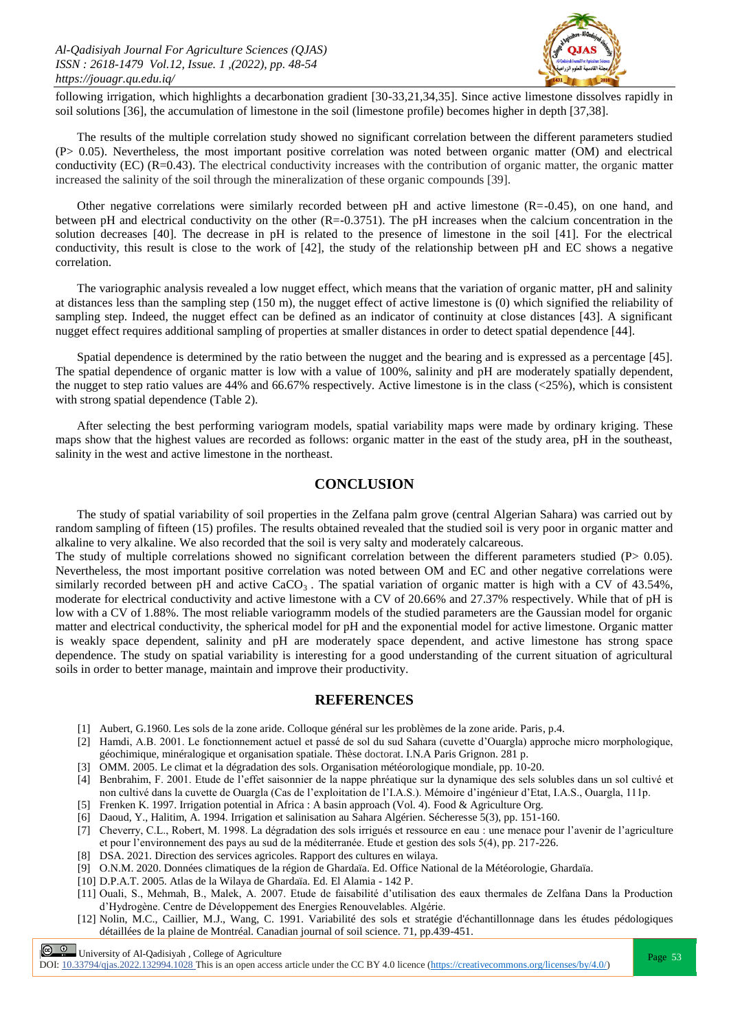

following irrigation, which highlights a decarbonation gradient [30-33,21,34,35]. Since active limestone dissolves rapidly in soil solutions [36], the accumulation of limestone in the soil (limestone profile) becomes higher in depth [37,38].

 The results of the multiple correlation study showed no significant correlation between the different parameters studied (P> 0.05). Nevertheless, the most important positive correlation was noted between organic matter (OM) and electrical conductivity (EC) (R=0.43). The electrical conductivity increases with the contribution of organic matter, the organic matter increased the salinity of the soil through the mineralization of these organic compounds [39].

 Other negative correlations were similarly recorded between pH and active limestone (R=-0.45), on one hand, and between pH and electrical conductivity on the other (R=-0.3751). The pH increases when the calcium concentration in the solution decreases [40]. The decrease in pH is related to the presence of limestone in the soil [41]. For the electrical conductivity, this result is close to the work of [42], the study of the relationship between pH and EC shows a negative correlation.

 The variographic analysis revealed a low nugget effect, which means that the variation of organic matter, pH and salinity at distances less than the sampling step (150 m), the nugget effect of active limestone is (0) which signified the reliability of sampling step. Indeed, the nugget effect can be defined as an indicator of continuity at close distances [43]. A significant nugget effect requires additional sampling of properties at smaller distances in order to detect spatial dependence [44].

 Spatial dependence is determined by the ratio between the nugget and the bearing and is expressed as a percentage [45]. The spatial dependence of organic matter is low with a value of 100%, salinity and pH are moderately spatially dependent, the nugget to step ratio values are  $44\%$  and  $66.67\%$  respectively. Active limestone is in the class ( $\langle 25\%$ ), which is consistent with strong spatial dependence (Table 2).

 After selecting the best performing variogram models, spatial variability maps were made by ordinary kriging. These maps show that the highest values are recorded as follows: organic matter in the east of the study area, pH in the southeast, salinity in the west and active limestone in the northeast.

# **CONCLUSION**

 The study of spatial variability of soil properties in the Zelfana palm grove (central Algerian Sahara) was carried out by random sampling of fifteen (15) profiles. The results obtained revealed that the studied soil is very poor in organic matter and alkaline to very alkaline. We also recorded that the soil is very salty and moderately calcareous.

The study of multiple correlations showed no significant correlation between the different parameters studied ( $P$  > 0.05). Nevertheless, the most important positive correlation was noted between OM and EC and other negative correlations were similarly recorded between pH and active  $CaCO<sub>3</sub>$ . The spatial variation of organic matter is high with a CV of 43.54%, moderate for electrical conductivity and active limestone with a CV of 20.66% and 27.37% respectively. While that of pH is low with a CV of 1.88%. The most reliable variogramm models of the studied parameters are the Gaussian model for organic matter and electrical conductivity, the spherical model for pH and the exponential model for active limestone. Organic matter is weakly space dependent, salinity and pH are moderately space dependent, and active limestone has strong space dependence. The study on spatial variability is interesting for a good understanding of the current situation of agricultural soils in order to better manage, maintain and improve their productivity.

## **REFERENCES**

- [1] Aubert, G.1960. Les sols de la zone aride. Colloque général sur les problèmes de la zone aride. Paris, p.4.
- [2] Hamdi, A.B. 2001. Le fonctionnement actuel et passé de sol du sud Sahara (cuvette d"Ouargla) approche micro morphologique, géochimique, minéralogique et organisation spatiale. Thèse doctorat. I.N.A Paris Grignon. 281 p.
- [3] OMM. 2005. Le climat et la dégradation des sols. Organisation météorologique mondiale, pp. 10-20.
- [4] Benbrahim, F. 2001. Etude de l"effet saisonnier de la nappe phréatique sur la dynamique des sels solubles dans un sol cultivé et non cultivé dans la cuvette de Ouargla (Cas de l"exploitation de l"I.A.S.). Mémoire d"ingénieur d"Etat, I.A.S., Ouargla, 111p.
- [5] Frenken K. 1997. Irrigation potential in Africa : A basin approach (Vol. 4). Food & Agriculture Org.
- [6] Daoud, Y., Halitim, A. 1994. Irrigation et salinisation au Sahara Algérien. Sécheresse 5(3), pp. 151-160.
- [7] Cheverry, C.L., Robert, M. 1998. La dégradation des sols irrigués et ressource en eau : une menace pour l"avenir de l"agriculture et pour l"environnement des pays au sud de la méditerranée. Etude et gestion des sols 5(4), pp. 217-226.
- [8] DSA. 2021. Direction des services agricoles. Rapport des cultures en wilaya.
- [9] O.N.M. 2020. Données climatiques de la région de Ghardaïa. Ed. Office National de la Météorologie, Ghardaïa.
- [10] D.P.A.T. 2005. Atlas de la Wilaya de Ghardaïa. Ed. El Alamia 142 P.
- [11] Ouali, S., Mehmah, B., Malek, A. 2007. Etude de faisabilité d"utilisation des eaux thermales de Zelfana Dans la Production d"Hydrogène. Centre de Développement des Energies Renouvelables. Algérie.
- [12] Nolin, M.C., Caillier, M.J., Wang, C. 1991. Variabilité des sols et stratégie d'échantillonnage dans les études pédologiques détaillées de la plaine de Montréal. Canadian journal of soil science. 71, pp.439-451.

**Page 53**<br>Page 53

DOI:  $10.33794/q$ jas.2022.132994.1028 This is an open access article under the CC BY 4.0 licence (https://creativecommons.org/licenses/by/4.0/)